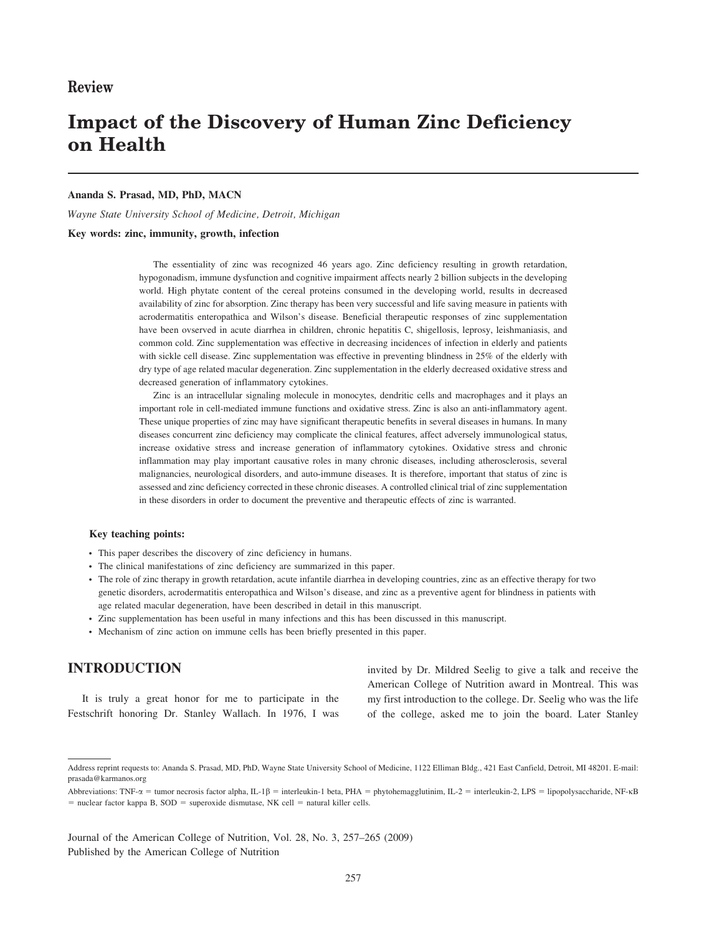# Impact of the Discovery of Human Zinc Deficiency on Health

#### Ananda S. Prasad, MD, PhD, MACN

Wayne State University School of Medicine, Detroit, Michigan

#### Key words: zinc, immunity, growth, infection

The essentiality of zinc was recognized 46 years ago. Zinc deficiency resulting in growth retardation, hypogonadism, immune dysfunction and cognitive impairment affects nearly 2 billion subjects in the developing world. High phytate content of the cereal proteins consumed in the developing world, results in decreased availability of zinc for absorption. Zinc therapy has been very successful and life saving measure in patients with acrodermatitis enteropathica and Wilson's disease. Beneficial therapeutic responses of zinc supplementation have been ovserved in acute diarrhea in children, chronic hepatitis C, shigellosis, leprosy, leishmaniasis, and common cold. Zinc supplementation was effective in decreasing incidences of infection in elderly and patients with sickle cell disease. Zinc supplementation was effective in preventing blindness in 25% of the elderly with dry type of age related macular degeneration. Zinc supplementation in the elderly decreased oxidative stress and decreased generation of inflammatory cytokines.

Zinc is an intracellular signaling molecule in monocytes, dendritic cells and macrophages and it plays an important role in cell-mediated immune functions and oxidative stress. Zinc is also an anti-inflammatory agent. These unique properties of zinc may have significant therapeutic benefits in several diseases in humans. In many diseases concurrent zinc deficiency may complicate the clinical features, affect adversely immunological status, increase oxidative stress and increase generation of inflammatory cytokines. Oxidative stress and chronic inflammation may play important causative roles in many chronic diseases, including atherosclerosis, several malignancies, neurological disorders, and auto-immune diseases. It is therefore, important that status of zinc is assessed and zinc deficiency corrected in these chronic diseases. A controlled clinical trial of zinc supplementation in these disorders in order to document the preventive and therapeutic effects of zinc is warranted.

#### Key teaching points:

- This paper describes the discovery of zinc deficiency in humans.
- The clinical manifestations of zinc deficiency are summarized in this paper.
- The role of zinc therapy in growth retardation, acute infantile diarrhea in developing countries, zinc as an effective therapy for two genetic disorders, acrodermatitis enteropathica and Wilson's disease, and zinc as a preventive agent for blindness in patients with age related macular degeneration, have been described in detail in this manuscript.
- Zinc supplementation has been useful in many infections and this has been discussed in this manuscript.
- N Mechanism of zinc action on immune cells has been briefly presented in this paper.

## INTRODUCTION

It is truly a great honor for me to participate in the Festschrift honoring Dr. Stanley Wallach. In 1976, I was invited by Dr. Mildred Seelig to give a talk and receive the American College of Nutrition award in Montreal. This was my first introduction to the college. Dr. Seelig who was the life of the college, asked me to join the board. Later Stanley

Journal of the American College of Nutrition, Vol. 28, No. 3, 257–265 (2009) Published by the American College of Nutrition

Address reprint requests to: Ananda S. Prasad, MD, PhD, Wayne State University School of Medicine, 1122 Elliman Bldg., 421 East Canfield, Detroit, MI 48201. E-mail: prasada@karmanos.org

Abbreviations: TNF- $\alpha$  = tumor necrosis factor alpha, IL-1 $\beta$  = interleukin-1 beta, PHA = phytohemagglutinim, IL-2 = interleukin-2, LPS = lipopolysaccharide, NF- $\kappa$ B  $=$  nuclear factor kappa B, SOD  $=$  superoxide dismutase, NK cell  $=$  natural killer cells.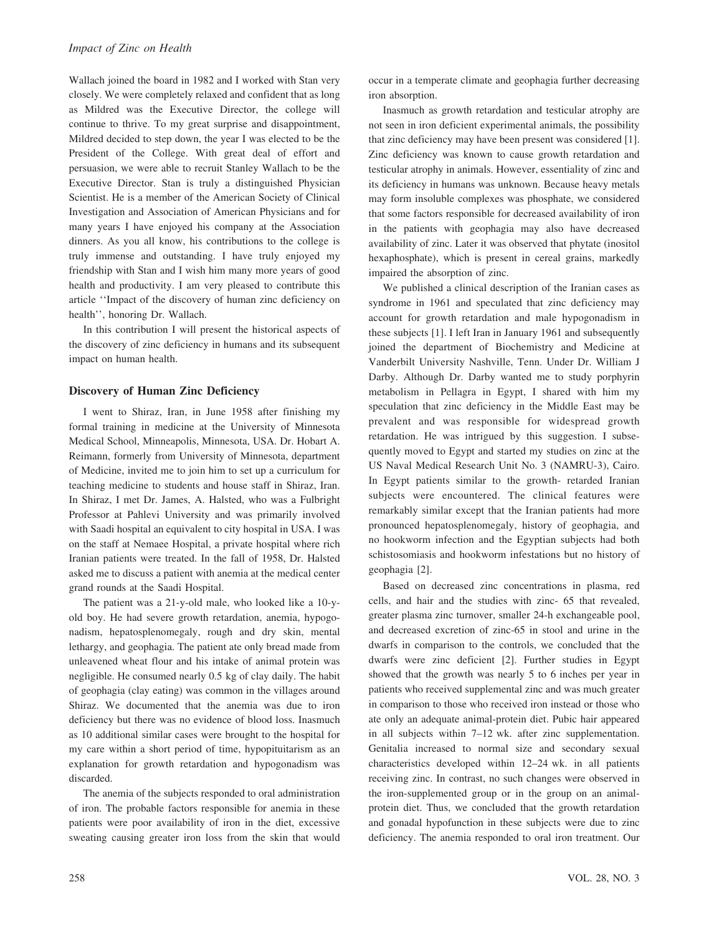Wallach joined the board in 1982 and I worked with Stan very closely. We were completely relaxed and confident that as long as Mildred was the Executive Director, the college will continue to thrive. To my great surprise and disappointment, Mildred decided to step down, the year I was elected to be the President of the College. With great deal of effort and persuasion, we were able to recruit Stanley Wallach to be the Executive Director. Stan is truly a distinguished Physician Scientist. He is a member of the American Society of Clinical Investigation and Association of American Physicians and for many years I have enjoyed his company at the Association dinners. As you all know, his contributions to the college is truly immense and outstanding. I have truly enjoyed my friendship with Stan and I wish him many more years of good health and productivity. I am very pleased to contribute this article ''Impact of the discovery of human zinc deficiency on health'', honoring Dr. Wallach.

In this contribution I will present the historical aspects of the discovery of zinc deficiency in humans and its subsequent impact on human health.

#### Discovery of Human Zinc Deficiency

I went to Shiraz, Iran, in June 1958 after finishing my formal training in medicine at the University of Minnesota Medical School, Minneapolis, Minnesota, USA. Dr. Hobart A. Reimann, formerly from University of Minnesota, department of Medicine, invited me to join him to set up a curriculum for teaching medicine to students and house staff in Shiraz, Iran. In Shiraz, I met Dr. James, A. Halsted, who was a Fulbright Professor at Pahlevi University and was primarily involved with Saadi hospital an equivalent to city hospital in USA. I was on the staff at Nemaee Hospital, a private hospital where rich Iranian patients were treated. In the fall of 1958, Dr. Halsted asked me to discuss a patient with anemia at the medical center grand rounds at the Saadi Hospital.

The patient was a 21-y-old male, who looked like a 10-yold boy. He had severe growth retardation, anemia, hypogonadism, hepatosplenomegaly, rough and dry skin, mental lethargy, and geophagia. The patient ate only bread made from unleavened wheat flour and his intake of animal protein was negligible. He consumed nearly 0.5 kg of clay daily. The habit of geophagia (clay eating) was common in the villages around Shiraz. We documented that the anemia was due to iron deficiency but there was no evidence of blood loss. Inasmuch as 10 additional similar cases were brought to the hospital for my care within a short period of time, hypopituitarism as an explanation for growth retardation and hypogonadism was discarded.

The anemia of the subjects responded to oral administration of iron. The probable factors responsible for anemia in these patients were poor availability of iron in the diet, excessive sweating causing greater iron loss from the skin that would occur in a temperate climate and geophagia further decreasing iron absorption.

Inasmuch as growth retardation and testicular atrophy are not seen in iron deficient experimental animals, the possibility that zinc deficiency may have been present was considered [1]. Zinc deficiency was known to cause growth retardation and testicular atrophy in animals. However, essentiality of zinc and its deficiency in humans was unknown. Because heavy metals may form insoluble complexes was phosphate, we considered that some factors responsible for decreased availability of iron in the patients with geophagia may also have decreased availability of zinc. Later it was observed that phytate (inositol hexaphosphate), which is present in cereal grains, markedly impaired the absorption of zinc.

We published a clinical description of the Iranian cases as syndrome in 1961 and speculated that zinc deficiency may account for growth retardation and male hypogonadism in these subjects [1]. I left Iran in January 1961 and subsequently joined the department of Biochemistry and Medicine at Vanderbilt University Nashville, Tenn. Under Dr. William J Darby. Although Dr. Darby wanted me to study porphyrin metabolism in Pellagra in Egypt, I shared with him my speculation that zinc deficiency in the Middle East may be prevalent and was responsible for widespread growth retardation. He was intrigued by this suggestion. I subsequently moved to Egypt and started my studies on zinc at the US Naval Medical Research Unit No. 3 (NAMRU-3), Cairo. In Egypt patients similar to the growth- retarded Iranian subjects were encountered. The clinical features were remarkably similar except that the Iranian patients had more pronounced hepatosplenomegaly, history of geophagia, and no hookworm infection and the Egyptian subjects had both schistosomiasis and hookworm infestations but no history of geophagia [2].

Based on decreased zinc concentrations in plasma, red cells, and hair and the studies with zinc- 65 that revealed, greater plasma zinc turnover, smaller 24-h exchangeable pool, and decreased excretion of zinc-65 in stool and urine in the dwarfs in comparison to the controls, we concluded that the dwarfs were zinc deficient [2]. Further studies in Egypt showed that the growth was nearly 5 to 6 inches per year in patients who received supplemental zinc and was much greater in comparison to those who received iron instead or those who ate only an adequate animal-protein diet. Pubic hair appeared in all subjects within 7–12 wk. after zinc supplementation. Genitalia increased to normal size and secondary sexual characteristics developed within 12–24 wk. in all patients receiving zinc. In contrast, no such changes were observed in the iron-supplemented group or in the group on an animalprotein diet. Thus, we concluded that the growth retardation and gonadal hypofunction in these subjects were due to zinc deficiency. The anemia responded to oral iron treatment. Our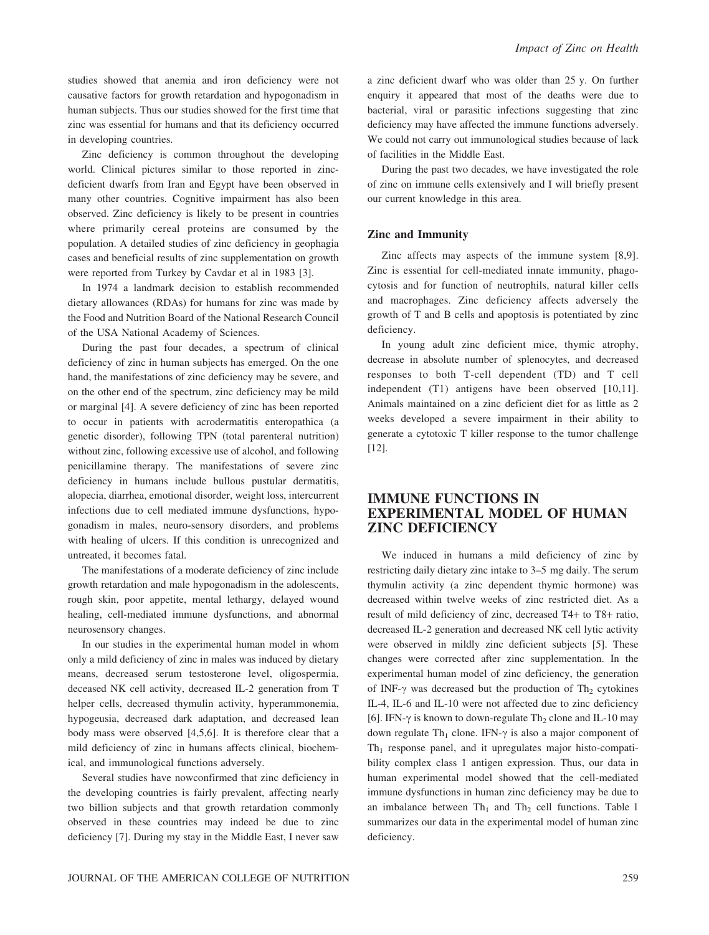studies showed that anemia and iron deficiency were not causative factors for growth retardation and hypogonadism in human subjects. Thus our studies showed for the first time that zinc was essential for humans and that its deficiency occurred in developing countries.

Zinc deficiency is common throughout the developing world. Clinical pictures similar to those reported in zincdeficient dwarfs from Iran and Egypt have been observed in many other countries. Cognitive impairment has also been observed. Zinc deficiency is likely to be present in countries where primarily cereal proteins are consumed by the population. A detailed studies of zinc deficiency in geophagia cases and beneficial results of zinc supplementation on growth were reported from Turkey by Cavdar et al in 1983 [3].

In 1974 a landmark decision to establish recommended dietary allowances (RDAs) for humans for zinc was made by the Food and Nutrition Board of the National Research Council of the USA National Academy of Sciences.

During the past four decades, a spectrum of clinical deficiency of zinc in human subjects has emerged. On the one hand, the manifestations of zinc deficiency may be severe, and on the other end of the spectrum, zinc deficiency may be mild or marginal [4]. A severe deficiency of zinc has been reported to occur in patients with acrodermatitis enteropathica (a genetic disorder), following TPN (total parenteral nutrition) without zinc, following excessive use of alcohol, and following penicillamine therapy. The manifestations of severe zinc deficiency in humans include bullous pustular dermatitis, alopecia, diarrhea, emotional disorder, weight loss, intercurrent infections due to cell mediated immune dysfunctions, hypogonadism in males, neuro-sensory disorders, and problems with healing of ulcers. If this condition is unrecognized and untreated, it becomes fatal.

The manifestations of a moderate deficiency of zinc include growth retardation and male hypogonadism in the adolescents, rough skin, poor appetite, mental lethargy, delayed wound healing, cell-mediated immune dysfunctions, and abnormal neurosensory changes.

In our studies in the experimental human model in whom only a mild deficiency of zinc in males was induced by dietary means, decreased serum testosterone level, oligospermia, deceased NK cell activity, decreased IL-2 generation from T helper cells, decreased thymulin activity, hyperammonemia, hypogeusia, decreased dark adaptation, and decreased lean body mass were observed [4,5,6]. It is therefore clear that a mild deficiency of zinc in humans affects clinical, biochemical, and immunological functions adversely.

Several studies have nowconfirmed that zinc deficiency in the developing countries is fairly prevalent, affecting nearly two billion subjects and that growth retardation commonly observed in these countries may indeed be due to zinc deficiency [7]. During my stay in the Middle East, I never saw

a zinc deficient dwarf who was older than 25 y. On further enquiry it appeared that most of the deaths were due to bacterial, viral or parasitic infections suggesting that zinc deficiency may have affected the immune functions adversely. We could not carry out immunological studies because of lack of facilities in the Middle East.

During the past two decades, we have investigated the role of zinc on immune cells extensively and I will briefly present our current knowledge in this area.

#### Zinc and Immunity

Zinc affects may aspects of the immune system [8,9]. Zinc is essential for cell-mediated innate immunity, phagocytosis and for function of neutrophils, natural killer cells and macrophages. Zinc deficiency affects adversely the growth of T and B cells and apoptosis is potentiated by zinc deficiency.

In young adult zinc deficient mice, thymic atrophy, decrease in absolute number of splenocytes, and decreased responses to both T-cell dependent (TD) and T cell independent (T1) antigens have been observed [10,11]. Animals maintained on a zinc deficient diet for as little as 2 weeks developed a severe impairment in their ability to generate a cytotoxic T killer response to the tumor challenge [12].

## IMMUNE FUNCTIONS IN EXPERIMENTAL MODEL OF HUMAN ZINC DEFICIENCY

We induced in humans a mild deficiency of zinc by restricting daily dietary zinc intake to 3–5 mg daily. The serum thymulin activity (a zinc dependent thymic hormone) was decreased within twelve weeks of zinc restricted diet. As a result of mild deficiency of zinc, decreased T4+ to T8+ ratio, decreased IL-2 generation and decreased NK cell lytic activity were observed in mildly zinc deficient subjects [5]. These changes were corrected after zinc supplementation. In the experimental human model of zinc deficiency, the generation of INF- $\gamma$  was decreased but the production of Th<sub>2</sub> cytokines IL-4, IL-6 and IL-10 were not affected due to zinc deficiency [6]. IFN- $\gamma$  is known to down-regulate Th<sub>2</sub> clone and IL-10 may down regulate Th<sub>1</sub> clone. IFN- $\gamma$  is also a major component of  $Th<sub>1</sub>$  response panel, and it upregulates major histo-compatibility complex class 1 antigen expression. Thus, our data in human experimental model showed that the cell-mediated immune dysfunctions in human zinc deficiency may be due to an imbalance between  $Th_1$  and  $Th_2$  cell functions. Table 1 summarizes our data in the experimental model of human zinc deficiency.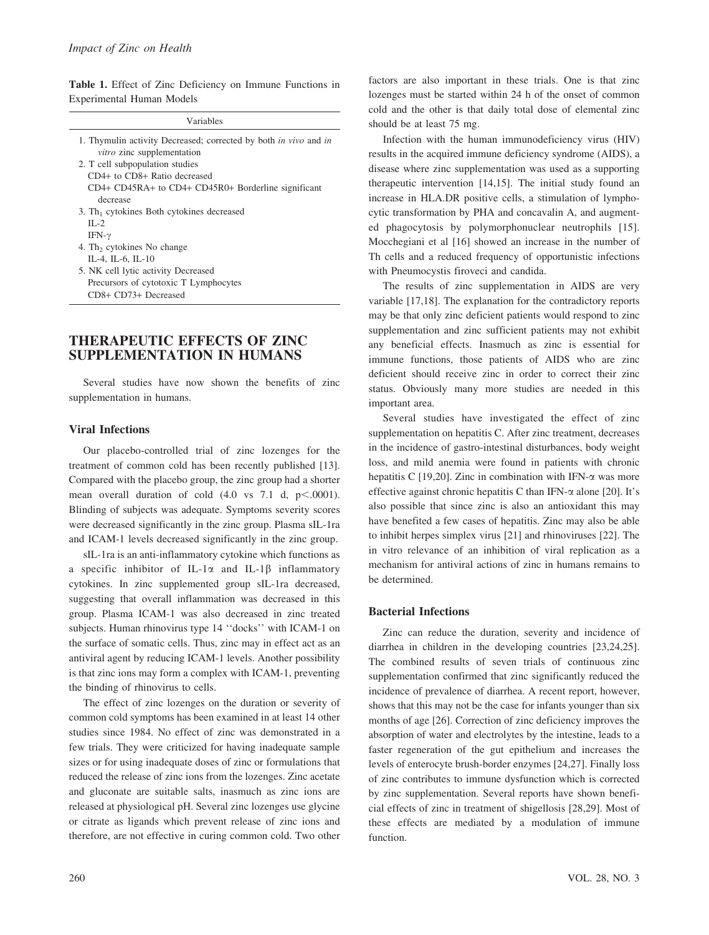Table 1. Effect of Zinc Deficiency on Immune Functions in Experimental Human Models

| Variables                                                                      |
|--------------------------------------------------------------------------------|
| 1. Thymulin activity Decreased; corrected by both <i>in vivo</i> and <i>in</i> |
| vitro zinc supplementation                                                     |
| 2. T cell subpopulation studies                                                |
| $CD4+$ to $CD8+$ Ratio decreased                                               |
| CD4+ CD45RA+ to CD4+ CD45R0+ Borderline significant                            |
| decrease                                                                       |
| 3. Th <sub>1</sub> cytokines Both cytokines decreased                          |
| $\Pi -2$                                                                       |
| IFN- $\gamma$                                                                  |
| 4. Th <sub>2</sub> cytokines No change                                         |
| IL-4, IL-6, IL-10                                                              |
| 5. NK cell lytic activity Decreased                                            |
| Precursors of cytotoxic T Lymphocytes                                          |

## THERAPEUTIC EFFECTS OF ZINC SUPPLEMENTATION IN HUMANS

Several studies have now shown the benefits of zinc supplementation in humans.

#### Viral Infections

CD8+ CD73+ Decreased

Our placebo-controlled trial of zinc lozenges for the treatment of common cold has been recently published [13]. Compared with the placebo group, the zinc group had a shorter mean overall duration of cold  $(4.0 \text{ vs } 7.1 \text{ d}, \text{ p} < .0001)$ . Blinding of subjects was adequate. Symptoms severity scores were decreased significantly in the zinc group. Plasma sIL-1ra and ICAM-1 levels decreased significantly in the zinc group.

sIL-1ra is an anti-inflammatory cytokine which functions as a specific inhibitor of IL-1 $\alpha$  and IL-1 $\beta$  inflammatory cytokines. In zinc supplemented group sIL-1ra decreased, suggesting that overall inflammation was decreased in this group. Plasma ICAM-1 was also decreased in zinc treated subjects. Human rhinovirus type 14 ''docks'' with ICAM-1 on the surface of somatic cells. Thus, zinc may in effect act as an antiviral agent by reducing ICAM-1 levels. Another possibility is that zinc ions may form a complex with ICAM-1, preventing the binding of rhinovirus to cells.

The effect of zinc lozenges on the duration or severity of common cold symptoms has been examined in at least 14 other studies since 1984. No effect of zinc was demonstrated in a few trials. They were criticized for having inadequate sample sizes or for using inadequate doses of zinc or formulations that reduced the release of zinc ions from the lozenges. Zinc acetate and gluconate are suitable salts, inasmuch as zinc ions are released at physiological pH. Several zinc lozenges use glycine or citrate as ligands which prevent release of zinc ions and therefore, are not effective in curing common cold. Two other

factors are also important in these trials. One is that zinc lozenges must be started within 24 h of the onset of common cold and the other is that daily total dose of elemental zinc should be at least 75 mg.

Infection with the human immunodeficiency virus (HIV) results in the acquired immune deficiency syndrome (AIDS), a disease where zinc supplementation was used as a supporting therapeutic intervention [14,15]. The initial study found an increase in HLA.DR positive cells, a stimulation of lymphocytic transformation by PHA and concavalin A, and augmented phagocytosis by polymorphonuclear neutrophils [15]. Mocchegiani et al [16] showed an increase in the number of Th cells and a reduced frequency of opportunistic infections with Pneumocystis firoveci and candida.

The results of zinc supplementation in AIDS are very variable [17,18]. The explanation for the contradictory reports may be that only zinc deficient patients would respond to zinc supplementation and zinc sufficient patients may not exhibit any beneficial effects. Inasmuch as zinc is essential for immune functions, those patients of AIDS who are zinc deficient should receive zinc in order to correct their zinc status. Obviously many more studies are needed in this important area.

Several studies have investigated the effect of zinc supplementation on hepatitis C. After zinc treatment, decreases in the incidence of gastro-intestinal disturbances, body weight loss, and mild anemia were found in patients with chronic hepatitis C [19,20]. Zinc in combination with IFN- $\alpha$  was more effective against chronic hepatitis C than IFN- $\alpha$  alone [20]. It's also possible that since zinc is also an antioxidant this may have benefited a few cases of hepatitis. Zinc may also be able to inhibit herpes simplex virus [21] and rhinoviruses [22]. The in vitro relevance of an inhibition of viral replication as a mechanism for antiviral actions of zinc in humans remains to be determined.

## Bacterial Infections

Zinc can reduce the duration, severity and incidence of diarrhea in children in the developing countries [23,24,25]. The combined results of seven trials of continuous zinc supplementation confirmed that zinc significantly reduced the incidence of prevalence of diarrhea. A recent report, however, shows that this may not be the case for infants younger than six months of age [26]. Correction of zinc deficiency improves the absorption of water and electrolytes by the intestine, leads to a faster regeneration of the gut epithelium and increases the levels of enterocyte brush-border enzymes [24,27]. Finally loss of zinc contributes to immune dysfunction which is corrected by zinc supplementation. Several reports have shown beneficial effects of zinc in treatment of shigellosis [28,29]. Most of these effects are mediated by a modulation of immune function.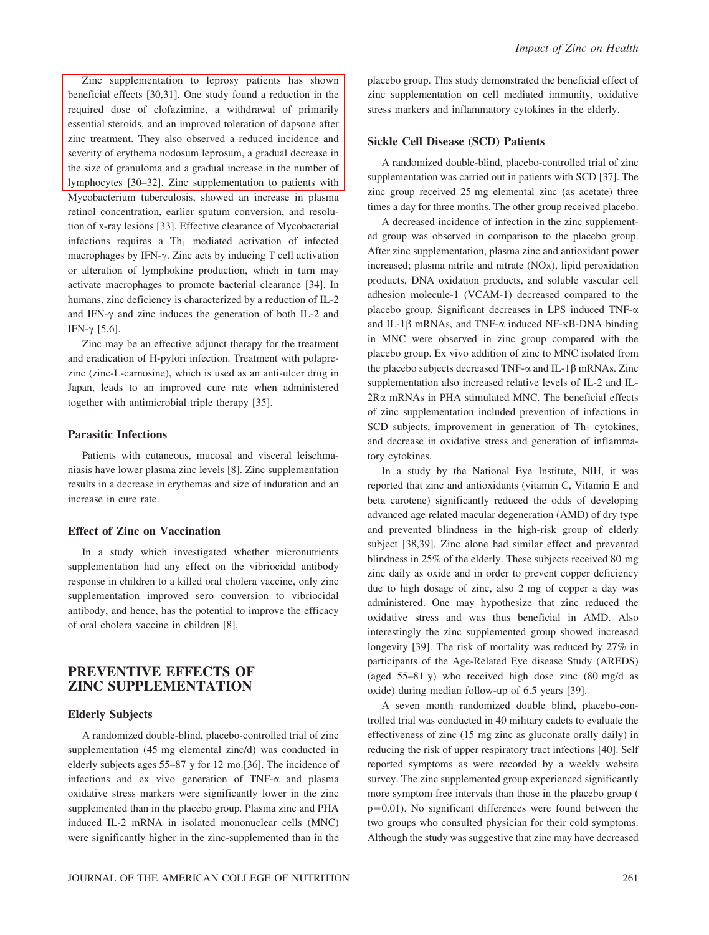Zinc supplementation to leprosy patients has shown beneficial effects [30,31]. One study found a reduction in the required dose of clofazimine, a withdrawal of primarily essential steroids, and an improved toleration of dapsone after zinc treatment. They also observed a reduced incidence and severity of erythema nodosum leprosum, a gradual decrease in the size of granuloma and a gradual increase in the number of lymphocytes [30–32]. Zinc supplementation to patients with Mycobacterium tuberculosis, showed an increase in plasma retinol concentration, earlier sputum conversion, and resolution of x-ray lesions [33]. Effective clearance of Mycobacterial infections requires a  $Th_1$  mediated activation of infected macrophages by IFN- $\gamma$ . Zinc acts by inducing T cell activation or alteration of lymphokine production, which in turn may activate macrophages to promote bacterial clearance [34]. In humans, zinc deficiency is characterized by a reduction of IL-2 and IFN- $\gamma$  and zinc induces the generation of both IL-2 and IFN- $\gamma$  [5,6].

Zinc may be an effective adjunct therapy for the treatment and eradication of H-pylori infection. Treatment with polaprezinc (zinc-L-carnosine), which is used as an anti-ulcer drug in Japan, leads to an improved cure rate when administered together with antimicrobial triple therapy [35].

#### Parasitic Infections

Patients with cutaneous, mucosal and visceral leischmaniasis have lower plasma zinc levels [8]. Zinc supplementation results in a decrease in erythemas and size of induration and an increase in cure rate.

### Effect of Zinc on Vaccination

In a study which investigated whether micronutrients supplementation had any effect on the vibriocidal antibody response in children to a killed oral cholera vaccine, only zinc supplementation improved sero conversion to vibriocidal antibody, and hence, has the potential to improve the efficacy of oral cholera vaccine in children [8].

# PREVENTIVE EFFECTS OF ZINC SUPPLEMENTATION

#### Elderly Subjects

A randomized double-blind, placebo-controlled trial of zinc supplementation (45 mg elemental zinc/d) was conducted in elderly subjects ages 55–87 y for 12 mo.[36]. The incidence of infections and ex vivo generation of TNF- $\alpha$  and plasma oxidative stress markers were significantly lower in the zinc supplemented than in the placebo group. Plasma zinc and PHA induced IL-2 mRNA in isolated mononuclear cells (MNC) were significantly higher in the zinc-supplemented than in the placebo group. This study demonstrated the beneficial effect of zinc supplementation on cell mediated immunity, oxidative stress markers and inflammatory cytokines in the elderly.

#### Sickle Cell Disease (SCD) Patients

A randomized double-blind, placebo-controlled trial of zinc supplementation was carried out in patients with SCD [37]. The zinc group received 25 mg elemental zinc (as acetate) three times a day for three months. The other group received placebo.

A decreased incidence of infection in the zinc supplemented group was observed in comparison to the placebo group. After zinc supplementation, plasma zinc and antioxidant power increased; plasma nitrite and nitrate (NOx), lipid peroxidation products, DNA oxidation products, and soluble vascular cell adhesion molecule-1 (VCAM-1) decreased compared to the placebo group. Significant decreases in LPS induced TNF- $\alpha$ and IL-1 $\beta$  mRNAs, and TNF- $\alpha$  induced NF- $\kappa$ B-DNA binding in MNC were observed in zinc group compared with the placebo group. Ex vivo addition of zinc to MNC isolated from the placebo subjects decreased TNF- $\alpha$  and IL-1 $\beta$  mRNAs. Zinc supplementation also increased relative levels of IL-2 and IL- $2R\alpha$  mRNAs in PHA stimulated MNC. The beneficial effects of zinc supplementation included prevention of infections in SCD subjects, improvement in generation of  $Th_1$  cytokines, and decrease in oxidative stress and generation of inflammatory cytokines.

In a study by the National Eye Institute, NIH, it was reported that zinc and antioxidants (vitamin C, Vitamin E and beta carotene) significantly reduced the odds of developing advanced age related macular degeneration (AMD) of dry type and prevented blindness in the high-risk group of elderly subject [38,39]. Zinc alone had similar effect and prevented blindness in 25% of the elderly. These subjects received 80 mg zinc daily as oxide and in order to prevent copper deficiency due to high dosage of zinc, also 2 mg of copper a day was administered. One may hypothesize that zinc reduced the oxidative stress and was thus beneficial in AMD. Also interestingly the zinc supplemented group showed increased longevity [39]. The risk of mortality was reduced by 27% in participants of the Age-Related Eye disease Study (AREDS) (aged 55–81 y) who received high dose zinc (80 mg/d as oxide) during median follow-up of 6.5 years [39].

A seven month randomized double blind, placebo-controlled trial was conducted in 40 military cadets to evaluate the effectiveness of zinc (15 mg zinc as gluconate orally daily) in reducing the risk of upper respiratory tract infections [40]. Self reported symptoms as were recorded by a weekly website survey. The zinc supplemented group experienced significantly more symptom free intervals than those in the placebo group (  $p=0.01$ ). No significant differences were found between the two groups who consulted physician for their cold symptoms. Although the study was suggestive that zinc may have decreased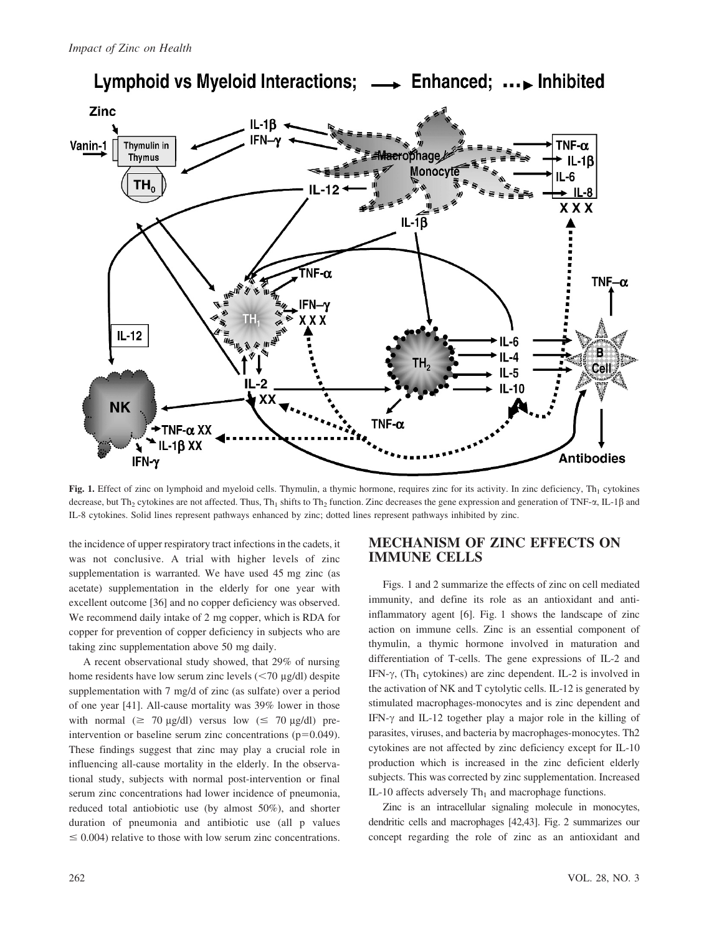

Lymphoid vs Myeloid Interactions; -> Enhanced; ... Inhibited

Fig. 1. Effect of zinc on lymphoid and myeloid cells. Thymulin, a thymic hormone, requires zinc for its activity. In zinc deficiency,  $Th_1$  cytokines decrease, but Th<sub>2</sub> cytokines are not affected. Thus, Th<sub>1</sub> shifts to Th<sub>2</sub> function. Zinc decreases the gene expression and generation of TNF- $\alpha$ , IL-1 $\beta$  and IL-8 cytokines. Solid lines represent pathways enhanced by zinc; dotted lines represent pathways inhibited by zinc.

the incidence of upper respiratory tract infections in the cadets, it was not conclusive. A trial with higher levels of zinc supplementation is warranted. We have used 45 mg zinc (as acetate) supplementation in the elderly for one year with excellent outcome [36] and no copper deficiency was observed. We recommend daily intake of 2 mg copper, which is RDA for copper for prevention of copper deficiency in subjects who are taking zinc supplementation above 50 mg daily.

A recent observational study showed, that 29% of nursing home residents have low serum zinc levels  $(< 70 \mu g/dl$ ) despite supplementation with 7 mg/d of zinc (as sulfate) over a period of one year [41]. All-cause mortality was 39% lower in those with normal  $(\geq 70 \text{ µg/dl})$  versus low  $(\leq 70 \text{ µg/dl})$  preintervention or baseline serum zinc concentrations  $(p=0.049)$ . These findings suggest that zinc may play a crucial role in influencing all-cause mortality in the elderly. In the observational study, subjects with normal post-intervention or final serum zinc concentrations had lower incidence of pneumonia, reduced total antiobiotic use (by almost 50%), and shorter duration of pneumonia and antibiotic use (all p values  $\leq 0.004$ ) relative to those with low serum zinc concentrations.

# MECHANISM OF ZINC EFFECTS ON IMMUNE CELLS

Figs. 1 and 2 summarize the effects of zinc on cell mediated immunity, and define its role as an antioxidant and antiinflammatory agent [6]. Fig. 1 shows the landscape of zinc action on immune cells. Zinc is an essential component of thymulin, a thymic hormone involved in maturation and differentiation of T-cells. The gene expressions of IL-2 and IFN- $\gamma$ , (Th<sub>1</sub> cytokines) are zinc dependent. IL-2 is involved in the activation of NK and T cytolytic cells. IL-12 is generated by stimulated macrophages-monocytes and is zinc dependent and IFN- $\gamma$  and IL-12 together play a major role in the killing of parasites, viruses, and bacteria by macrophages-monocytes. Th2 cytokines are not affected by zinc deficiency except for IL-10 production which is increased in the zinc deficient elderly subjects. This was corrected by zinc supplementation. Increased IL-10 affects adversely  $Th<sub>1</sub>$  and macrophage functions.

Zinc is an intracellular signaling molecule in monocytes, dendritic cells and macrophages [42,43]. Fig. 2 summarizes our concept regarding the role of zinc as an antioxidant and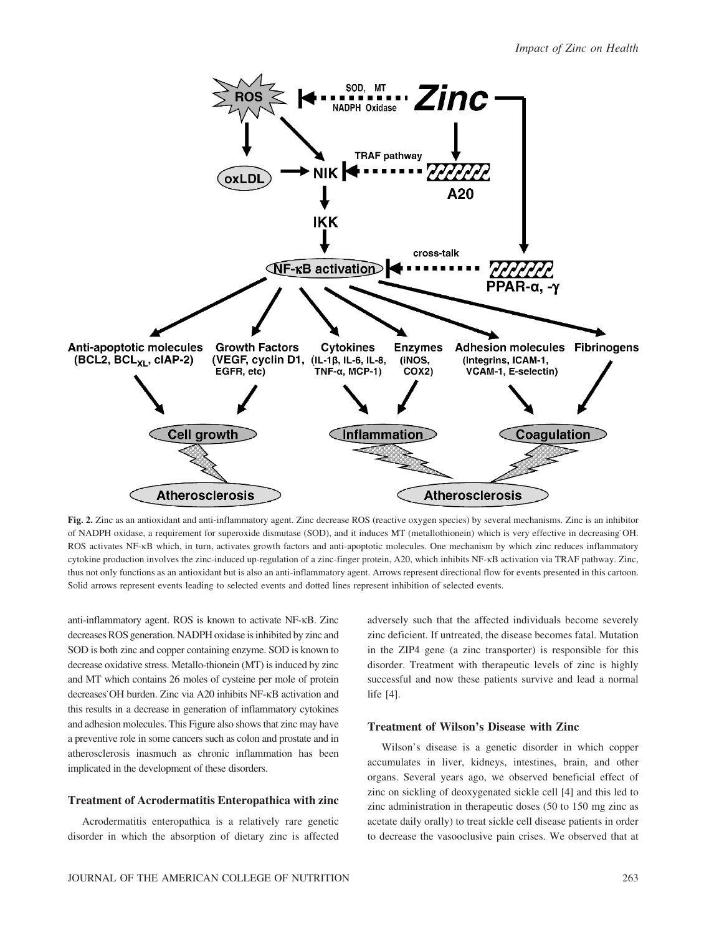

Fig. 2. Zinc as an antioxidant and anti-inflammatory agent. Zinc decrease ROS (reactive oxygen species) by several mechanisms. Zinc is an inhibitor of NADPH oxidase, a requirement for superoxide dismutase (SOD), and it induces MT (metallothionein) which is very effective in decreasing˙OH. ROS activates NF-kB which, in turn, activates growth factors and anti-apoptotic molecules. One mechanism by which zinc reduces inflammatory cytokine production involves the zinc-induced up-regulation of a zinc-finger protein, A20, which inhibits NF-kB activation via TRAF pathway. Zinc, thus not only functions as an antioxidant but is also an anti-inflammatory agent. Arrows represent directional flow for events presented in this cartoon. Solid arrows represent events leading to selected events and dotted lines represent inhibition of selected events.

anti-inflammatory agent. ROS is known to activate NF-kB. Zinc decreases ROS generation. NADPH oxidase is inhibited by zinc and SOD is both zinc and copper containing enzyme. SOD is known to decrease oxidative stress. Metallo-thionein (MT) is induced by zinc and MT which contains 26 moles of cysteine per mole of protein decreases˙OH burden. Zinc via A20 inhibits NF-kB activation and this results in a decrease in generation of inflammatory cytokines and adhesion molecules. This Figure also shows that zinc may have a preventive role in some cancers such as colon and prostate and in atherosclerosis inasmuch as chronic inflammation has been implicated in the development of these disorders.

#### Treatment of Acrodermatitis Enteropathica with zinc

Acrodermatitis enteropathica is a relatively rare genetic disorder in which the absorption of dietary zinc is affected adversely such that the affected individuals become severely zinc deficient. If untreated, the disease becomes fatal. Mutation in the ZIP4 gene (a zinc transporter) is responsible for this disorder. Treatment with therapeutic levels of zinc is highly successful and now these patients survive and lead a normal life [4].

## Treatment of Wilson's Disease with Zinc

Wilson's disease is a genetic disorder in which copper accumulates in liver, kidneys, intestines, brain, and other organs. Several years ago, we observed beneficial effect of zinc on sickling of deoxygenated sickle cell [4] and this led to zinc administration in therapeutic doses (50 to 150 mg zinc as acetate daily orally) to treat sickle cell disease patients in order to decrease the vasooclusive pain crises. We observed that at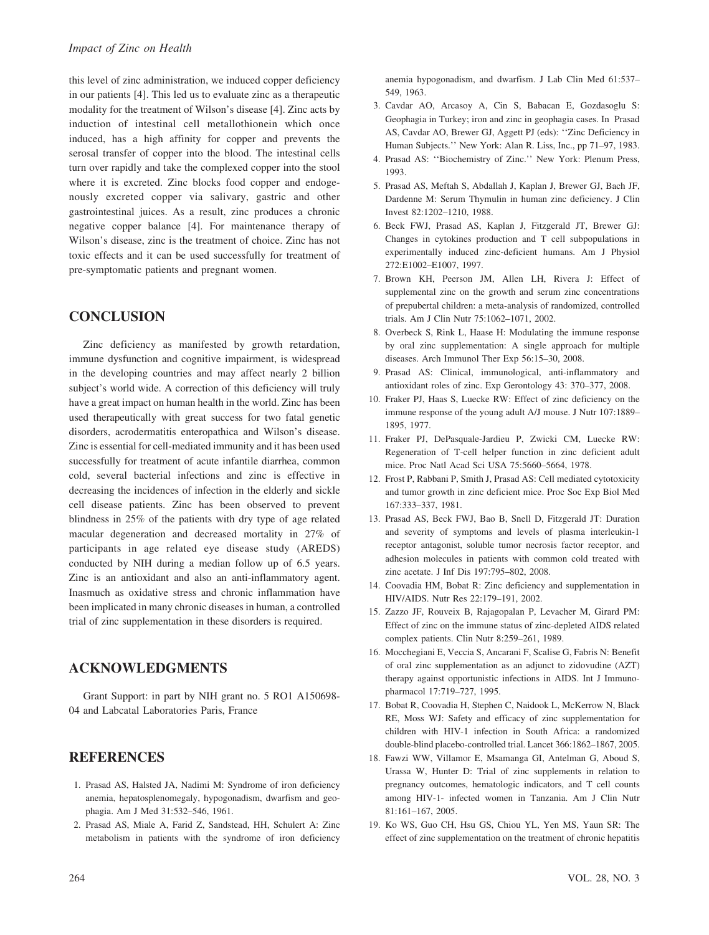this level of zinc administration, we induced copper deficiency in our patients [4]. This led us to evaluate zinc as a therapeutic modality for the treatment of Wilson's disease [4]. Zinc acts by induction of intestinal cell metallothionein which once induced, has a high affinity for copper and prevents the serosal transfer of copper into the blood. The intestinal cells turn over rapidly and take the complexed copper into the stool where it is excreted. Zinc blocks food copper and endogenously excreted copper via salivary, gastric and other gastrointestinal juices. As a result, zinc produces a chronic negative copper balance [4]. For maintenance therapy of Wilson's disease, zinc is the treatment of choice. Zinc has not toxic effects and it can be used successfully for treatment of pre-symptomatic patients and pregnant women.

# **CONCLUSION**

Zinc deficiency as manifested by growth retardation, immune dysfunction and cognitive impairment, is widespread in the developing countries and may affect nearly 2 billion subject's world wide. A correction of this deficiency will truly have a great impact on human health in the world. Zinc has been used therapeutically with great success for two fatal genetic disorders, acrodermatitis enteropathica and Wilson's disease. Zinc is essential for cell-mediated immunity and it has been used successfully for treatment of acute infantile diarrhea, common cold, several bacterial infections and zinc is effective in decreasing the incidences of infection in the elderly and sickle cell disease patients. Zinc has been observed to prevent blindness in 25% of the patients with dry type of age related macular degeneration and decreased mortality in 27% of participants in age related eye disease study (AREDS) conducted by NIH during a median follow up of 6.5 years. Zinc is an antioxidant and also an anti-inflammatory agent. Inasmuch as oxidative stress and chronic inflammation have been implicated in many chronic diseases in human, a controlled trial of zinc supplementation in these disorders is required.

## ACKNOWLEDGMENTS

Grant Support: in part by NIH grant no. 5 RO1 A150698- 04 and Labcatal Laboratories Paris, France

## **REFERENCES**

- 1. Prasad AS, Halsted JA, Nadimi M: Syndrome of iron deficiency anemia, hepatosplenomegaly, hypogonadism, dwarfism and geophagia. Am J Med 31:532–546, 1961.
- 2. Prasad AS, Miale A, Farid Z, Sandstead, HH, Schulert A: Zinc metabolism in patients with the syndrome of iron deficiency

anemia hypogonadism, and dwarfism. J Lab Clin Med 61:537– 549, 1963.

- 3. Cavdar AO, Arcasoy A, Cin S, Babacan E, Gozdasoglu S: Geophagia in Turkey; iron and zinc in geophagia cases. In Prasad AS, Cavdar AO, Brewer GJ, Aggett PJ (eds): ''Zinc Deficiency in Human Subjects.'' New York: Alan R. Liss, Inc., pp 71–97, 1983.
- 4. Prasad AS: ''Biochemistry of Zinc.'' New York: Plenum Press, 1993.
- 5. Prasad AS, Meftah S, Abdallah J, Kaplan J, Brewer GJ, Bach JF, Dardenne M: Serum Thymulin in human zinc deficiency. J Clin Invest 82:1202–1210, 1988.
- 6. Beck FWJ, Prasad AS, Kaplan J, Fitzgerald JT, Brewer GJ: Changes in cytokines production and T cell subpopulations in experimentally induced zinc-deficient humans. Am J Physiol 272:E1002–E1007, 1997.
- 7. Brown KH, Peerson JM, Allen LH, Rivera J: Effect of supplemental zinc on the growth and serum zinc concentrations of prepubertal children: a meta-analysis of randomized, controlled trials. Am J Clin Nutr 75:1062–1071, 2002.
- 8. Overbeck S, Rink L, Haase H: Modulating the immune response by oral zinc supplementation: A single approach for multiple diseases. Arch Immunol Ther Exp 56:15–30, 2008.
- 9. Prasad AS: Clinical, immunological, anti-inflammatory and antioxidant roles of zinc. Exp Gerontology 43: 370–377, 2008.
- 10. Fraker PJ, Haas S, Luecke RW: Effect of zinc deficiency on the immune response of the young adult A/J mouse. J Nutr 107:1889– 1895, 1977.
- 11. Fraker PJ, DePasquale-Jardieu P, Zwicki CM, Luecke RW: Regeneration of T-cell helper function in zinc deficient adult mice. Proc Natl Acad Sci USA 75:5660–5664, 1978.
- 12. Frost P, Rabbani P, Smith J, Prasad AS: Cell mediated cytotoxicity and tumor growth in zinc deficient mice. Proc Soc Exp Biol Med 167:333–337, 1981.
- 13. Prasad AS, Beck FWJ, Bao B, Snell D, Fitzgerald JT: Duration and severity of symptoms and levels of plasma interleukin-1 receptor antagonist, soluble tumor necrosis factor receptor, and adhesion molecules in patients with common cold treated with zinc acetate. J Inf Dis 197:795–802, 2008.
- 14. Coovadia HM, Bobat R: Zinc deficiency and supplementation in HIV/AIDS. Nutr Res 22:179–191, 2002.
- 15. Zazzo JF, Rouveix B, Rajagopalan P, Levacher M, Girard PM: Effect of zinc on the immune status of zinc-depleted AIDS related complex patients. Clin Nutr 8:259–261, 1989.
- 16. Mocchegiani E, Veccia S, Ancarani F, Scalise G, Fabris N: Benefit of oral zinc supplementation as an adjunct to zidovudine (AZT) therapy against opportunistic infections in AIDS. Int J Immunopharmacol 17:719–727, 1995.
- 17. Bobat R, Coovadia H, Stephen C, Naidook L, McKerrow N, Black RE, Moss WJ: Safety and efficacy of zinc supplementation for children with HIV-1 infection in South Africa: a randomized double-blind placebo-controlled trial. Lancet 366:1862–1867, 2005.
- 18. Fawzi WW, Villamor E, Msamanga GI, Antelman G, Aboud S, Urassa W, Hunter D: Trial of zinc supplements in relation to pregnancy outcomes, hematologic indicators, and T cell counts among HIV-1- infected women in Tanzania. Am J Clin Nutr 81:161–167, 2005.
- 19. Ko WS, Guo CH, Hsu GS, Chiou YL, Yen MS, Yaun SR: The effect of zinc supplementation on the treatment of chronic hepatitis